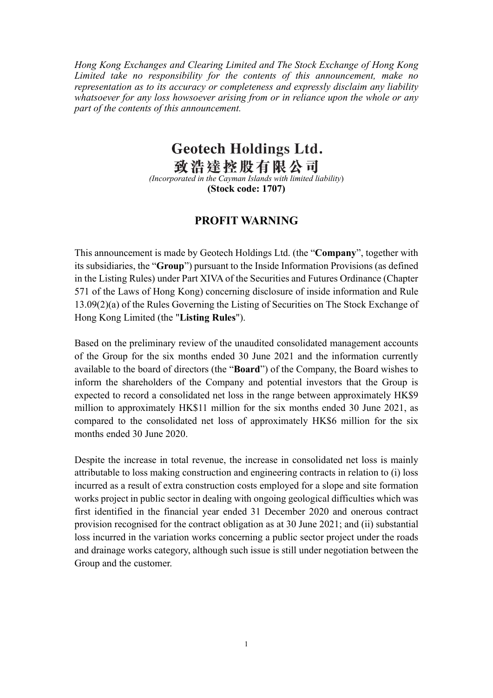Hong Kong Exchanges and Clearing Limited and The Stock Exchange of Hong Kong Limited take no responsibility for the contents of this announcement, make no representation as to its accuracy or completeness and expressly disclaim any liability whatsoever for any loss howsoever arising from or in reliance upon the whole or any part of the contents of this announcement.

## **Geotech Holdings Ltd.**

**致浩達控股有限公司** 

(Stock code: 1707)

## PROFIT WARNING

This announcement is made by Geotech Holdings Ltd. (the "Company", together with its subsidiaries, the "Group") pursuant to the Inside Information Provisions (as defined in the Listing Rules) under Part XIVA of the Securities and Futures Ordinance (Chapter 571 of the Laws of Hong Kong) concerning disclosure of inside information and Rule 13.09(2)(a) of the Rules Governing the Listing of Securities on The Stock Exchange of Hong Kong Limited (the "Listing Rules").

Based on the preliminary review of the unaudited consolidated management accounts of the Group for the six months ended 30 June 2021 and the information currently available to the board of directors (the "Board") of the Company, the Board wishes to inform the shareholders of the Company and potential investors that the Group is expected to record a consolidated net loss in the range between approximately HK\$9 million to approximately HK\$11 million for the six months ended 30 June 2021, as compared to the consolidated net loss of approximately HK\$6 million for the six months ended 30 June 2020.

Despite the increase in total revenue, the increase in consolidated net loss is mainly attributable to loss making construction and engineering contracts in relation to (i) loss incurred as a result of extra construction costs employed for a slope and site formation works project in public sector in dealing with ongoing geological difficulties which was first identified in the financial year ended 31 December 2020 and onerous contract provision recognised for the contract obligation as at 30 June 2021; and (ii) substantial loss incurred in the variation works concerning a public sector project under the roads and drainage works category, although such issue is still under negotiation between the Group and the customer.